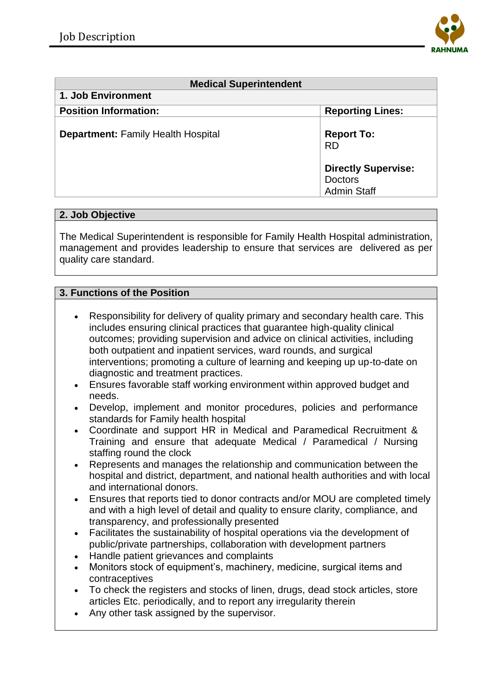

| <b>Medical Superintendent</b>             |                                                                    |
|-------------------------------------------|--------------------------------------------------------------------|
| 1. Job Environment                        |                                                                    |
| <b>Position Information:</b>              | <b>Reporting Lines:</b>                                            |
| <b>Department: Family Health Hospital</b> | <b>Report To:</b><br><b>RD</b>                                     |
|                                           | <b>Directly Supervise:</b><br><b>Doctors</b><br><b>Admin Staff</b> |

## **2. Job Objective**

The Medical Superintendent is responsible for Family Health Hospital administration, management and provides leadership to ensure that services are delivered as per quality care standard.

## **3. Functions of the Position**

- Responsibility for delivery of quality primary and secondary health care. This includes ensuring clinical practices that guarantee high-quality clinical outcomes; providing supervision and advice on clinical activities, including both outpatient and inpatient services, ward rounds, and surgical interventions; promoting a culture of learning and keeping up up-to-date on diagnostic and treatment practices.
- Ensures favorable staff working environment within approved budget and needs.
- Develop, implement and monitor procedures, policies and performance standards for Family health hospital
- Coordinate and support HR in Medical and Paramedical Recruitment & Training and ensure that adequate Medical / Paramedical / Nursing staffing round the clock
- Represents and manages the relationship and communication between the hospital and district, department, and national health authorities and with local and international donors.
- Ensures that reports tied to donor contracts and/or MOU are completed timely and with a high level of detail and quality to ensure clarity, compliance, and transparency, and professionally presented
- Facilitates the sustainability of hospital operations via the development of public/private partnerships, collaboration with development partners
- Handle patient grievances and complaints
- Monitors stock of equipment's, machinery, medicine, surgical items and contraceptives
- To check the registers and stocks of linen, drugs, dead stock articles, store articles Etc. periodically, and to report any irregularity therein
- Any other task assigned by the supervisor.